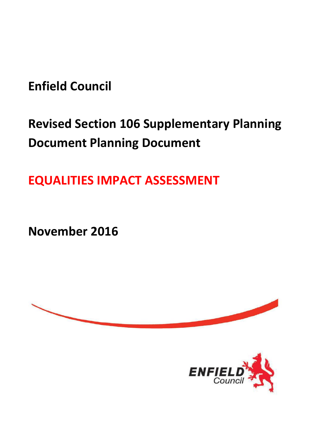**Enfield Council** 

# **Revised Section 106 Supplementary Planning Document Planning Document**

**EQUALITIES IMPACT ASSESSMENT**

**November 2016**



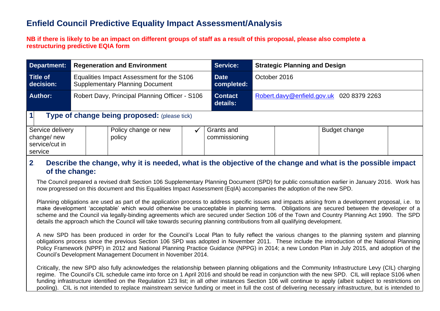# **Enfield Council Predictive Equality Impact Assessment/Analysis**

#### **NB if there is likely to be an impact on different groups of staff as a result of this proposal, please also complete a restructuring predictive EQIA form**

| Department:                                                      | <b>Regeneration and Environment</b>                                                 |                                |  | <b>Service:</b>             | <b>Strategic Planning and Design</b>     |  |  |  |  |  |
|------------------------------------------------------------------|-------------------------------------------------------------------------------------|--------------------------------|--|-----------------------------|------------------------------------------|--|--|--|--|--|
| <b>Title of</b><br>decision:                                     | Equalities Impact Assessment for the S106<br><b>Supplementary Planning Document</b> |                                |  | <b>Date</b><br>completed:   | October 2016                             |  |  |  |  |  |
| Robert Davy, Principal Planning Officer - S106<br><b>Author:</b> |                                                                                     |                                |  | <b>Contact</b><br>details:  | Robert.davy@enfield.gov.uk 020 8379 2263 |  |  |  |  |  |
| 1<br>Type of change being proposed: (please tick)                |                                                                                     |                                |  |                             |                                          |  |  |  |  |  |
| Service delivery<br>change/new<br>service/cut in<br>service      |                                                                                     | Policy change or new<br>policy |  | Grants and<br>commissioning | Budget change                            |  |  |  |  |  |

#### **2. Describe the change, why it is needed, what is the objective of the change and what is the possible impact of the change:**

The Council prepared a revised draft Section 106 Supplementary Planning Document (SPD) for public consultation earlier in January 2016. Work has now progressed on this document and this Equalities Impact Assessment (EqIA) accompanies the adoption of the new SPD.

Planning obligations are used as part of the application process to address specific issues and impacts arising from a development proposal, i.e. to make development 'acceptable' which would otherwise be unacceptable in planning terms. Obligations are secured between the developer of a scheme and the Council via legally-binding agreements which are secured under Section 106 of the Town and Country Planning Act 1990. The SPD details the approach which the Council will take towards securing planning contributions from all qualifying development.

A new SPD has been produced in order for the Council's Local Plan to fully reflect the various changes to the planning system and planning obligations process since the previous Section 106 SPD was adopted in November 2011. These include the introduction of the National Planning Policy Framework (NPPF) in 2012 and National Planning Practice Guidance (NPPG) in 2014; a new London Plan in July 2015, and adoption of the Council's Development Management Document in November 2014.

Critically, the new SPD also fully acknowledges the relationship between planning obligations and the Community Infrastructure Levy (CIL) charging regime. The Council's CIL schedule came into force on 1 April 2016 and should be read in conjunction with the new SPD. CIL will replace S106 when funding infrastructure identified on the Regulation 123 list; in all other instances Section 106 will continue to apply (albeit subject to restrictions on pooling). CIL is not intended to replace mainstream service funding or meet in full the cost of delivering necessary infrastructure, but is intended to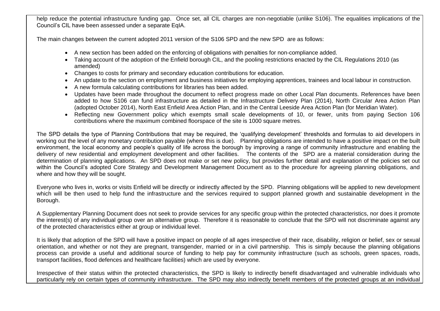help reduce the potential infrastructure funding gap. Once set, all CIL charges are non-negotiable (unlike S106). The equalities implications of the Council's CIL have been assessed under a separate EqIA.

The main changes between the current adopted 2011 version of the S106 SPD and the new SPD are as follows:

- A new section has been added on the enforcing of obligations with penalties for non-compliance added.
- Taking account of the adoption of the Enfield borough CIL, and the pooling restrictions enacted by the CIL Regulations 2010 (as amended)
- Changes to costs for primary and secondary education contributions for education.
- An update to the section on employment and business initiatives for employing apprentices, trainees and local labour in construction.
- A new formula calculating contributions for libraries has been added.
- Updates have been made throughout the document to reflect progress made on other Local Plan documents. References have been added to how S106 can fund infrastructure as detailed in the Infrastructure Delivery Plan (2014), North Circular Area Action Plan (adopted October 2014), North East Enfield Area Action Plan, and in the Central Leeside Area Action Plan (for Meridian Water).
- Reflecting new Government policy which exempts small scale developments of 10, or fewer, units from paying Section 106 contributions where the maximum combined floorspace of the site is 1000 square metres.

The SPD details the type of Planning Contributions that may be required, the 'qualifying development' thresholds and formulas to aid developers in working out the level of any monetary contribution payable (where this is due). Planning obligations are intended to have a positive impact on the built environment, the local economy and people's quality of life across the borough by improving a range of community infrastructure and enabling the delivery of new residential and employment development and other facilities. The contents of the SPD are a material consideration during the determination of planning applications. An SPD does not make or set new policy, but provides further detail and explanation of the policies set out within the Council's adopted Core Strategy and Development Management Document as to the procedure for agreeing planning obligations, and where and how they will be sought.

Everyone who lives in, works or visits Enfield will be directly or indirectly affected by the SPD. Planning obligations will be applied to new development which will be then used to help fund the infrastructure and the services required to support planned growth and sustainable development in the Borough.

A Supplementary Planning Document does not seek to provide services for any specific group within the protected characteristics, nor does it promote the interest(s) of any individual group over an alternative group. Therefore it is reasonable to conclude that the SPD will not discriminate against any of the protected characteristics either at group or individual level.

It is likely that adoption of the SPD will have a positive impact on people of all ages irrespective of their race, disability, religion or belief, sex or sexual orientation, and whether or not they are pregnant, transgender, married or in a civil partnership. This is simply because the planning obligations process can provide a useful and additional source of funding to help pay for community infrastructure (such as schools, green spaces, roads, transport facilities, flood defences and healthcare facilities) which are used by everyone.

Irrespective of their status within the protected characteristics, the SPD is likely to indirectly benefit disadvantaged and vulnerable individuals who particularly rely on certain types of community infrastructure. The SPD may also indirectly benefit members of the protected groups at an individual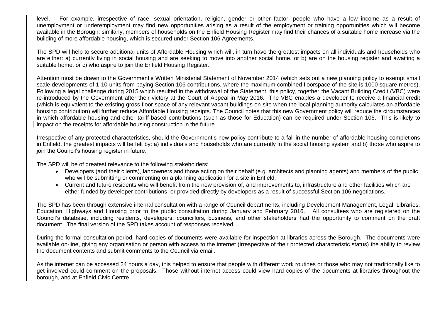level. For example, irrespective of race, sexual orientation, religion, gender or other factor, people who have a low income as a result of unemployment or underemployment may find new opportunities arising as a result of the employment or training opportunities which will become available in the Borough; similarly, members of households on the Enfield Housing Register may find their chances of a suitable home increase via the building of more affordable housing, which is secured under Section 106 Agreements.

The SPD will help to secure additional units of Affordable Housing which will, in turn have the greatest impacts on all individuals and households who are either: a) currently living in social housing and are seeking to move into another social home, or b) are on the housing register and awaiting a suitable home, or c) who aspire to join the Enfield Housing Register.

Attention must be drawn to the Government's Written Ministerial Statement of November 2014 (which sets out a new planning policy to exempt small scale developments of 1-10 units from paying Section 106 contributions, where the maximum combined floorspace of the site is 1000 square metres). Following a legal challenge during 2015 which resulted in the withdrawal of the Statement, this policy, together the Vacant Building Credit (VBC) were re-introduced by the Government after their victory at the Court of Appeal in May 2016. The VBC enables a developer to receive a financial credit (which is equivalent to the existing gross floor space of any relevant vacant buildings on-site when the local planning authority calculates an affordable housing contribution) will further reduce Affordable Housing receipts. The Council notes that this new Government policy will reduce the circumstances in which affordable housing and other tariff-based contributions (such as those for Education) can be required under Section 106. This is likely to impact on the receipts for affordable housing construction in the future.

Irrespective of any protected characteristics, should the Government's new policy contribute to a fall in the number of affordable housing completions in Enfield, the greatest impacts will be felt by: a) individuals and households who are currently in the social housing system and b) those who aspire to join the Council's housing register in future.

The SPD will be of greatest relevance to the following stakeholders:

- Developers (and their clients), landowners and those acting on their behalf (e.g. architects and planning agents) and members of the public who will be submitting or commenting on a planning application for a site in Enfield;
- Current and future residents who will benefit from the new provision of, and improvements to, infrastructure and other facilities which are either funded by developer contributions, or provided directly by developers as a result of successful Section 106 negotiations.

The SPD has been through extensive internal consultation with a range of Council departments, including Development Management, Legal, Libraries, Education, Highways and Housing prior to the public consultation during January and February 2016. All consultees who are registered on the Council's database, including residents, developers, councillors, business, and other stakeholders had the opportunity to comment on the draft document. The final version of the SPD takes account of responses received.

During the formal consultation period, hard copies of documents were available for inspection at libraries across the Borough. The documents were available on-line, giving any organisation or person with access to the internet (irrespective of their protected characteristic status) the ability to review the document contents and submit comments to the Council via email.

As the internet can be accessed 24 hours a day, this helped to ensure that people with different work routines or those who may not traditionally like to get involved could comment on the proposals. Those without internet access could view hard copies of the documents at libraries throughout the borough, and at Enfield Civic Centre.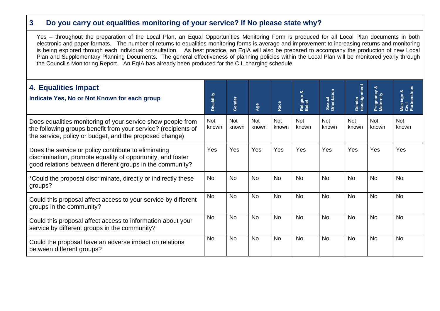## **3. Do you carry out equalities monitoring of your service? If No please state why?**

Yes – throughout the preparation of the Local Plan, an Equal Opportunities Monitoring Form is produced for all Local Plan documents in both electronic and paper formats. The number of returns to equalities monitoring forms is average and improvement to increasing returns and monitoring is being explored through each individual consultation. As best practice, an EqIA will also be prepared to accompany the production of new Local Plan and Supplementary Planning Documents. The general effectiveness of planning policies within the Local Plan will be monitored yearly through the Council's Monitoring Report. An EqIA has already been produced for the CIL charging schedule.

| 4. Equalities Impact<br>Indicate Yes, No or Not Known for each group                                                                                                                     | Disability          | Gender              | Age                 | Race                | ఱ<br>Religion<br>Belief | Sexual<br>Orientation | Gender<br>reassignment | Pregnancy<br>Maternity | Marriage &<br>Civil<br>Partnerships |
|------------------------------------------------------------------------------------------------------------------------------------------------------------------------------------------|---------------------|---------------------|---------------------|---------------------|-------------------------|-----------------------|------------------------|------------------------|-------------------------------------|
| Does equalities monitoring of your service show people from<br>the following groups benefit from your service? (recipients of<br>the service, policy or budget, and the proposed change) | <b>Not</b><br>known | <b>Not</b><br>known | <b>Not</b><br>known | <b>Not</b><br>known | <b>Not</b><br>known     | <b>Not</b><br>known   | <b>Not</b><br>known    | <b>Not</b><br>known    | <b>Not</b><br>known                 |
| Does the service or policy contribute to eliminating<br>discrimination, promote equality of opportunity, and foster<br>good relations between different groups in the community?         | Yes                 | Yes                 | Yes                 | Yes                 | Yes                     | Yes                   | Yes                    | Yes                    | Yes                                 |
| *Could the proposal discriminate, directly or indirectly these<br>groups?                                                                                                                | <b>No</b>           | <b>No</b>           | <b>No</b>           | <b>No</b>           | <b>No</b>               | <b>No</b>             | <b>No</b>              | <b>No</b>              | <b>No</b>                           |
| Could this proposal affect access to your service by different<br>groups in the community?                                                                                               | <b>No</b>           | <b>No</b>           | <b>No</b>           | <b>No</b>           | <b>No</b>               | <b>No</b>             | <b>No</b>              | <b>No</b>              | <b>No</b>                           |
| Could this proposal affect access to information about your<br>service by different groups in the community?                                                                             | <b>No</b>           | <b>No</b>           | <b>No</b>           | <b>No</b>           | <b>No</b>               | <b>No</b>             | <b>No</b>              | <b>No</b>              | <b>No</b>                           |
| Could the proposal have an adverse impact on relations<br>between different groups?                                                                                                      | <b>No</b>           | <b>No</b>           | <b>No</b>           | <b>No</b>           | <b>No</b>               | <b>No</b>             | <b>No</b>              | <b>No</b>              | <b>No</b>                           |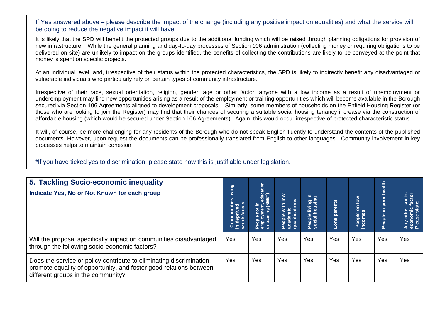If Yes answered above – please describe the impact of the change (including any positive impact on equalities) and what the service will be doing to reduce the negative impact it will have.

It is likely that the SPD will benefit the protected groups due to the additional funding which will be raised through planning obligations for provision of new infrastructure. While the general planning and day-to-day processes of Section 106 administration (collecting money or requiring obligations to be delivered on-site) are unlikely to impact on the groups identified, the benefits of collecting the contributions are likely to be conveyed at the point that money is spent on specific projects.

At an individual level, and, irrespective of their status within the protected characteristics, the SPD is likely to indirectly benefit any disadvantaged or vulnerable individuals who particularly rely on certain types of community infrastructure.

Irrespective of their race, sexual orientation, religion, gender, age or other factor, anyone with a low income as a result of unemployment or underemployment may find new opportunities arising as a result of the employment or training opportunities which will become available in the Borough secured via Section 106 Agreements aligned to development proposals. Similarly, some members of households on the Enfield Housing Register (or those who are looking to join the Register) may find that their chances of securing a suitable social housing tenancy increase via the construction of affordable housing (which would be secured under Section 106 Agreements). Again, this would occur irrespective of protected characteristic status.

It will, of course, be more challenging for any residents of the Borough who do not speak English fluently to understand the contents of the published documents. However, upon request the documents can be professionally translated from English to other languages. Community involvement in key processes helps to maintain cohesion.

\*If you have ticked yes to discrimination, please state how this is justifiable under legislation.

| 5. Tackling Socio-economic inequality<br>Indicate Yes, No or Not Known for each group                                                                                            |     | People not in<br>employment, education<br>or training (NEET) | $\frac{1}{2}$<br>People with lo <sup>.</sup><br>academic<br>qualifications | e living in<br>housing<br>People<br>social h | Lone parents | $\frac{8}{10}$<br>5<br>People<br>ncomes | health<br>poor<br>Ξ.<br>People i | ner socio-<br>nic factor<br>state;<br>Any other:<br>economic<br>Please stat |
|----------------------------------------------------------------------------------------------------------------------------------------------------------------------------------|-----|--------------------------------------------------------------|----------------------------------------------------------------------------|----------------------------------------------|--------------|-----------------------------------------|----------------------------------|-----------------------------------------------------------------------------|
| Will the proposal specifically impact on communities disadvantaged<br>through the following socio-economic factors?                                                              | Yes | Yes                                                          | Yes                                                                        | Yes                                          | Yes          | Yes                                     | Yes                              | Yes                                                                         |
| Does the service or policy contribute to eliminating discrimination,<br>promote equality of opportunity, and foster good relations between<br>different groups in the community? | Yes | Yes                                                          | Yes                                                                        | Yes                                          | Yes          | Yes                                     | Yes                              | Yes                                                                         |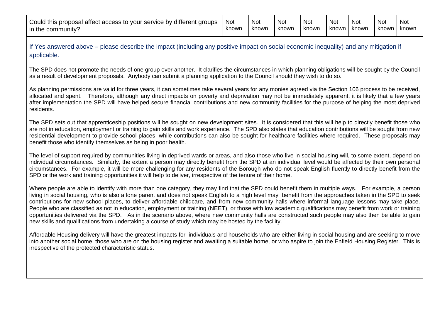| Could this proposal affect access to your service by different groups | <b>Not</b> | <b>Not</b> | <b>Not</b> | Not   | Not   | Not     | <b>Not</b> | <b>Not</b> |
|-----------------------------------------------------------------------|------------|------------|------------|-------|-------|---------|------------|------------|
| in the community?                                                     | knowr      | known      | known      | known | known | i known | known I    | known      |

If Yes answered above – please describe the impact (including any positive impact on social economic inequality) and any mitigation if applicable.

The SPD does not promote the needs of one group over another. It clarifies the circumstances in which planning obligations will be sought by the Council as a result of development proposals. Anybody can submit a planning application to the Council should they wish to do so.

As planning permissions are valid for three years, it can sometimes take several years for any monies agreed via the Section 106 process to be received, allocated and spent. Therefore, although any direct impacts on poverty and deprivation may not be immediately apparent, it is likely that a few years after implementation the SPD will have helped secure financial contributions and new community facilities for the purpose of helping the most deprived residents.

The SPD sets out that apprenticeship positions will be sought on new development sites. It is considered that this will help to directly benefit those who are not in education, employment or training to gain skills and work experience. The SPD also states that education contributions will be sought from new residential development to provide school places, while contributions can also be sought for healthcare facilities where required. These proposals may benefit those who identify themselves as being in poor health.

The level of support required by communities living in deprived wards or areas, and also those who live in social housing will, to some extent, depend on individual circumstances. Similarly, the extent a person may directly benefit from the SPD at an individual level would be affected by their own personal circumstances. For example, it will be more challenging for any residents of the Borough who do not speak English fluently to directly benefit from the SPD or the work and training opportunities it will help to deliver, irrespective of the tenure of their home.

Where people are able to identify with more than one category, they may find that the SPD could benefit them in multiple ways. For example, a person living in social housing, who is also a lone parent and does not speak English to a high level may benefit from the approaches taken in the SPD to seek contributions for new school places, to deliver affordable childcare, and from new community halls where informal language lessons may take place. People who are classified as not in education, employment or training (NEET), or those with low academic qualifications may benefit from work or training opportunities delivered via the SPD. As in the scenario above, where new community halls are constructed such people may also then be able to gain new skills and qualifications from undertaking a course of study which may be hosted by the facility.

Affordable Housing delivery will have the greatest impacts for individuals and households who are either living in social housing and are seeking to move into another social home, those who are on the housing register and awaiting a suitable home, or who aspire to join the Enfield Housing Register. This is irrespective of the protected characteristic status.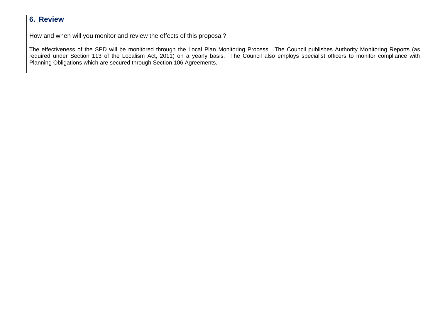## **6. Review**

How and when will you monitor and review the effects of this proposal?

The effectiveness of the SPD will be monitored through the Local Plan Monitoring Process. The Council publishes Authority Monitoring Reports (as required under Section 113 of the Localism Act, 2011) on a yearly basis. The Council also employs specialist officers to monitor compliance with Planning Obligations which are secured through Section 106 Agreements.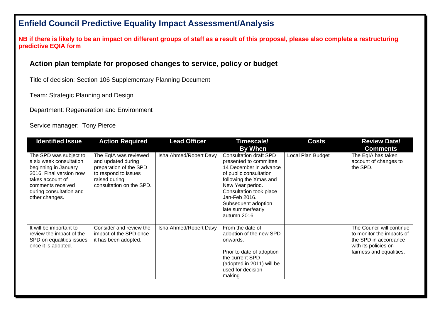# **Enfield Council Predictive Equality Impact Assessment/Analysis**

**NB if there is likely to be an impact on different groups of staff as a result of this proposal, please also complete a restructuring predictive EQIA form** 

### **Action plan template for proposed changes to service, policy or budget**

Title of decision: Section 106 Supplementary Planning Document

Team: Strategic Planning and Design

Department: Regeneration and Environment

#### Service manager: Tony Pierce

| <b>Identified Issue</b>                                                                                                                                                                    | <b>Lead Officer</b><br><b>Action Required</b>                                                                                              |                        | Timescale/                                                                                                                                                                                                                                                        | <b>Costs</b>      | <b>Review Date/</b>                                                                                                                 |  |  |
|--------------------------------------------------------------------------------------------------------------------------------------------------------------------------------------------|--------------------------------------------------------------------------------------------------------------------------------------------|------------------------|-------------------------------------------------------------------------------------------------------------------------------------------------------------------------------------------------------------------------------------------------------------------|-------------------|-------------------------------------------------------------------------------------------------------------------------------------|--|--|
|                                                                                                                                                                                            |                                                                                                                                            |                        | By When                                                                                                                                                                                                                                                           |                   | <b>Comments</b>                                                                                                                     |  |  |
| The SPD was subject to<br>a six week consultation<br>beginning in January<br>2016. Final version now<br>takes account of<br>comments received<br>during consultation and<br>other changes. | The EqIA was reviewed<br>and updated during<br>preparation of the SPD<br>to respond to issues<br>raised during<br>consultation on the SPD. | Isha Ahmed/Robert Davy | <b>Consultation draft SPD</b><br>presented to committee<br>14 December in advance<br>of public consultation<br>following the Xmas and<br>New Year period.<br>Consultation took place<br>Jan-Feb 2016.<br>Subsequent adoption<br>late summer/early<br>autumn 2016. | Local Plan Budget | The EqIA has taken<br>account of changes to<br>the SPD.                                                                             |  |  |
| It will be important to<br>review the impact of the<br>SPD on equalities issues<br>once it is adopted.                                                                                     | Consider and review the<br>impact of the SPD once<br>it has been adopted.                                                                  | Isha Ahmed/Robert Davy | From the date of<br>adoption of the new SPD<br>onwards.<br>Prior to date of adoption<br>the current SPD<br>(adopted in 2011) will be<br>used for decision<br>making.                                                                                              |                   | The Council will continue<br>to monitor the impacts of<br>the SPD in accordance<br>with its policies on<br>fairness and equalities. |  |  |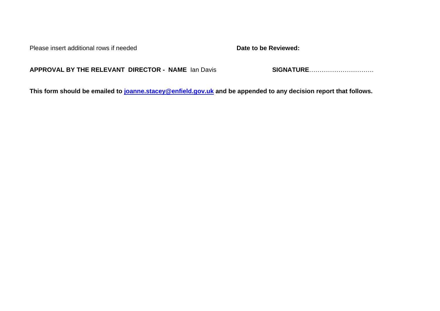Please insert additional rows if needed **Date to be Reviewed:** 

**APPROVAL BY THE RELEVANT DIRECTOR - NAME** Ian Davis **SIGNATURE**………………………….

**This form should be emailed to [joanne.stacey@enfield.gov.uk](mailto:joanne.stacey@enfield.gov.uk) and be appended to any decision report that follows.**